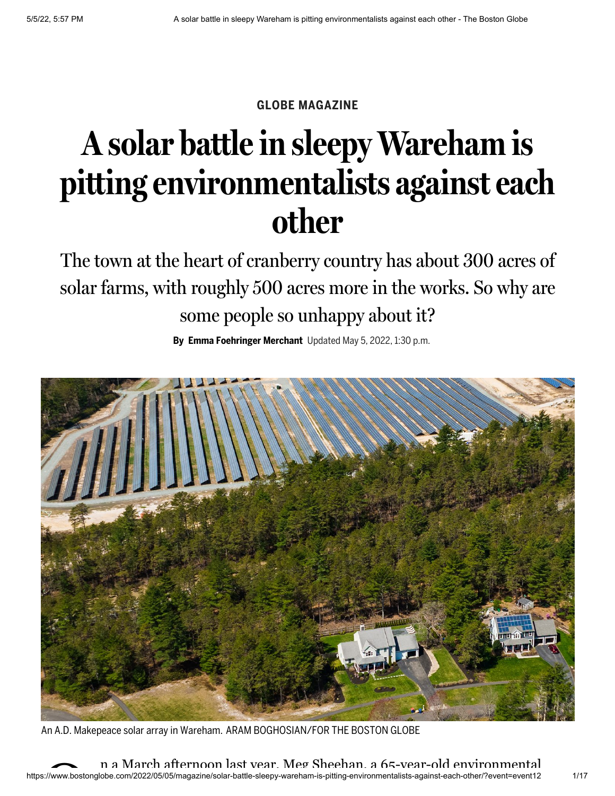## **GLOBE MAGAZINE**

## **A solar battle in sleepy Wareham is pitting environmentalists against each other**

The town at the heart of cranberry country has about 300 acres of solar farms, with roughly 500 acres more in the works. So why are some people so unhappy about it?

**By Emma Foehringer Merchant** Updated May 5, 2022, 1:30 p.m.



An A.D. Makepeace solar array in Wareham. ARAM BOGHOSIAN/FOR THE BOSTON GLOBE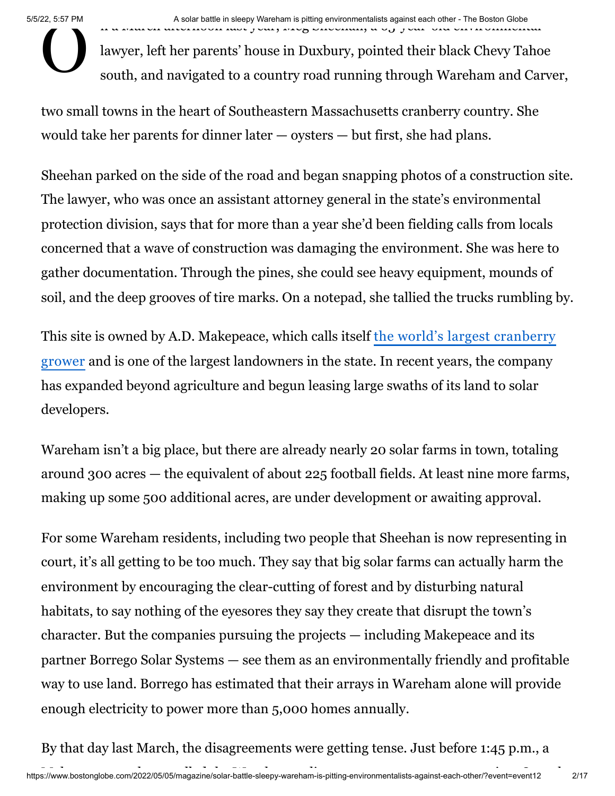5/5/22, 5:57 PM A solar battle in sleepy Wareham is pitting environmentalists against each other - The Boston Globe nan en meer hoor last year, Meg Sheehan, a 60 year old environment

 $\bigcup$  i lawyer, left her parents' house in Duxbury, pointed their black Chevy Tahoe south, and navigated to a country road running through Wareham and Carver,

two small towns in the heart of Southeastern Massachusetts cranberry country. She would take her parents for dinner later — oysters — but first, she had plans.

Sheehan parked on the side of the road and began snapping photos of a construction site. The lawyer, who was once an assistant attorney general in the state's environmental protection division, says that for more than a year she'd been fielding calls from locals concerned that a wave of construction was damaging the environment. She was here to gather documentation. Through the pines, she could see heavy equipment, mounds of soil, and the deep grooves of tire marks. On a notepad, she tallied the trucks rumbling by.

This site is owned by A.D. Makepeace, which calls itself the world's largest cranberry [grower and is one of the largest landowners in the state. In recent years, the company](https://admakepeace.com/) has expanded beyond agriculture and begun leasing large swaths of its land to solar developers.

Wareham isn't a big place, but there are already nearly 20 solar farms in town, totaling around 300 acres — the equivalent of about 225 football fields. At least nine more farms, making up some 500 additional acres, are under development or awaiting approval.

For some Wareham residents, including two people that Sheehan is now representing in court, it's all getting to be too much. They say that big solar farms can actually harm the environment by encouraging the clear-cutting of forest and by disturbing natural habitats, to say nothing of the eyesores they say they create that disrupt the town's character. But the companies pursuing the projects — including Makepeace and its partner Borrego Solar Systems — see them as an environmentally friendly and profitable way to use land. Borrego has estimated that their arrays in Wareham alone will provide enough electricity to power more than 5,000 homes annually.

ل السبانية بي المسلم المسلمين بي المسلم المسلم المسلم المسلم المسلم المسلم المسلم المسلم المسلم المسلم المسلم ا<br>https://www.bostonglobe.com/2022/05/05/magazine/solar-battle-sleepy-wareham-is-pitting-environmentalists-agai By that day last March, the disagreements were getting tense. Just before 1:45 p.m., a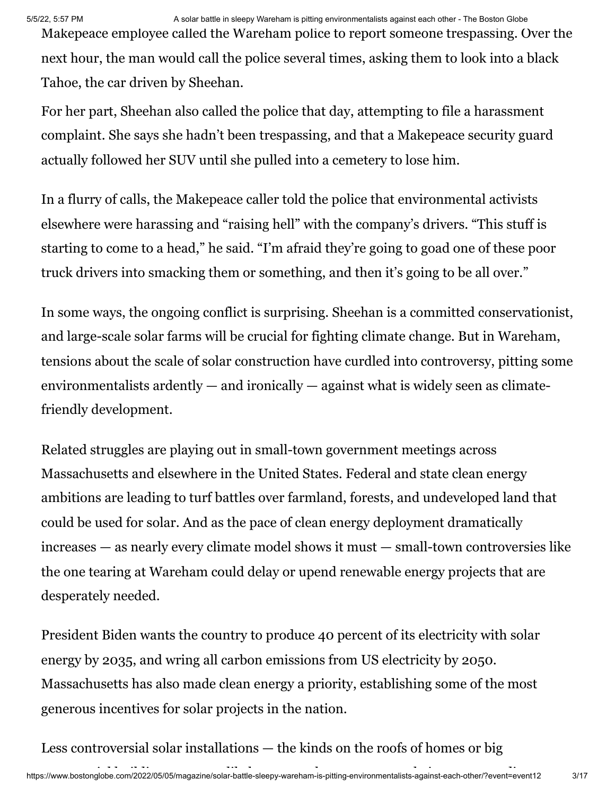Makepeace employee called the Wareham police to report someone trespassing. Over the next hour, the man would call the police several times, asking them to look into a black Tahoe, the car driven by Sheehan.

For her part, Sheehan also called the police that day, attempting to file a harassment complaint. She says she hadn't been trespassing, and that a Makepeace security guard actually followed her SUV until she pulled into a cemetery to lose him.

In a flurry of calls, the Makepeace caller told the police that environmental activists elsewhere were harassing and "raising hell" with the company's drivers. "This stuff is starting to come to a head," he said. "I'm afraid they're going to goad one of these poor truck drivers into smacking them or something, and then it's going to be all over."

In some ways, the ongoing conflict is surprising. Sheehan is a committed conservationist, and large-scale solar farms will be crucial for fighting climate change. But in Wareham, tensions about the scale of solar construction have curdled into controversy, pitting some environmentalists ardently — and ironically — against what is widely seen as climatefriendly development.

Related struggles are playing out in small-town government meetings across Massachusetts and elsewhere in the United States. Federal and state clean energy ambitions are leading to turf battles over farmland, forests, and undeveloped land that could be used for solar. And as the pace of clean energy deployment dramatically increases — as nearly every climate model shows it must — small-town controversies like the one tearing at Wareham could delay or upend renewable energy projects that are desperately needed.

President Biden wants the country to produce 40 percent of its electricity with solar energy by 2035, and wring all carbon emissions from US electricity by 2050. Massachusetts has also made clean energy a priority, establishing some of the most generous incentives for solar projects in the nation.

https://www.bostonglobe.com/2022/05/05/magazine/solar-battle-sleepy-wareham-is-pitting-environmentalists-against-each-other/?event=event12 3/17 i l b ildi lik l h h i diLess controversial solar installations — the kinds on the roofs of homes or big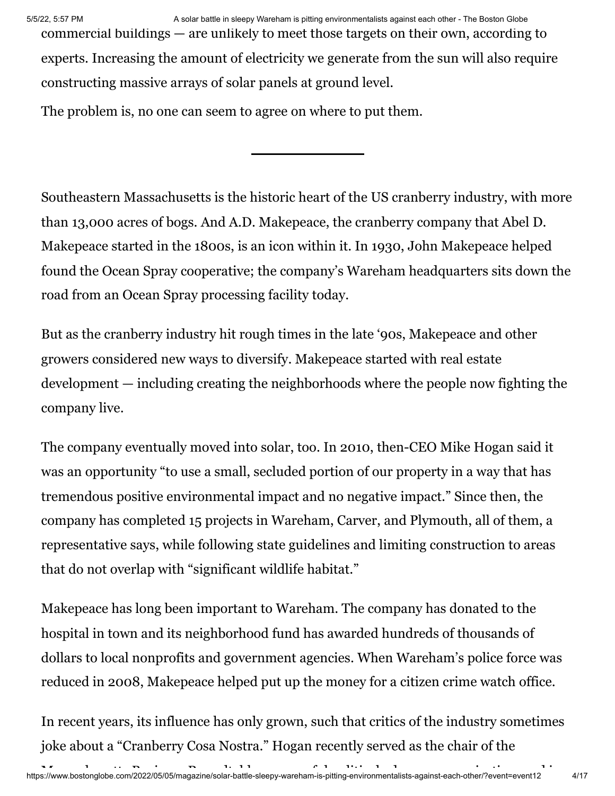5/5/22, 5:57 PM A solar battle in sleepy Wareham is pitting environmentalists against each other - The Boston Globe

commercial buildings — are unlikely to meet those targets on their own, according to experts. Increasing the amount of electricity we generate from the sun will also require constructing massive arrays of solar panels at ground level.

The problem is, no one can seem to agree on where to put them.

Southeastern Massachusetts is the historic heart of the US cranberry industry, with more than 13,000 acres of bogs. And A.D. Makepeace, the cranberry company that Abel D. Makepeace started in the 1800s, is an icon within it. In 1930, John Makepeace helped found the Ocean Spray cooperative; the company's Wareham headquarters sits down the road from an Ocean Spray processing facility today.

But as the cranberry industry hit rough times in the late '90s, Makepeace and other growers considered new ways to diversify. Makepeace started with real estate development — including creating the neighborhoods where the people now fighting the company live.

The company eventually moved into solar, too. In 2010, then-CEO Mike Hogan said it was an opportunity "to use a small, secluded portion of our property in a way that has tremendous positive environmental impact and no negative impact." Since then, the company has completed 15 projects in Wareham, Carver, and Plymouth, all of them, a representative says, while following state guidelines and limiting construction to areas that do not overlap with "significant wildlife habitat."

Makepeace has long been important to Wareham. The company has donated to the hospital in town and its neighborhood fund has awarded hundreds of thousands of dollars to local nonprofits and government agencies. When Wareham's police force was reduced in 2008, Makepeace helped put up the money for a citizen crime watch office.

In recent years, its influence has only grown, such that critics of the industry sometimes joke about a "Cranberry Cosa Nostra." Hogan recently served as the chair of the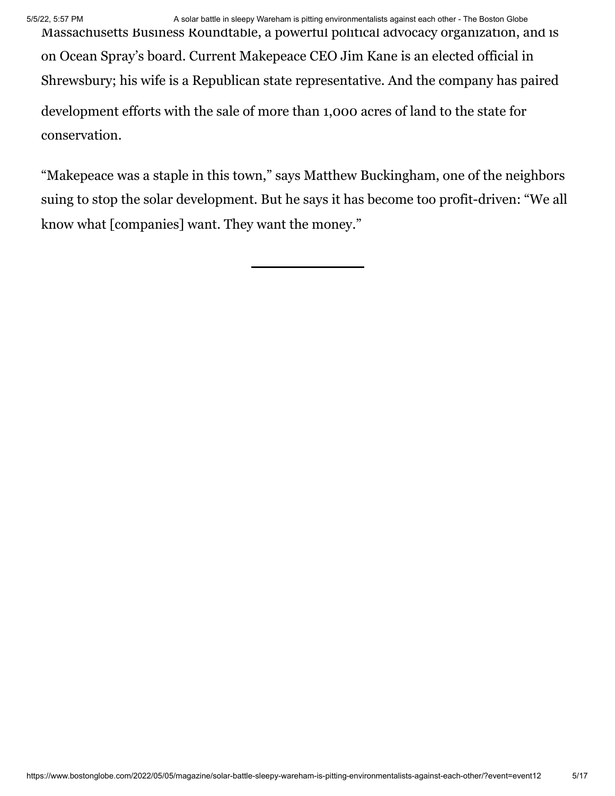5/5/22, 5:57 PM A solar battle in sleepy Wareham is pitting environmentalists against each other - The Boston Globe

Massachusetts Business Roundtable, a powerful political advocacy organization, and is on Ocean Spray's board. Current Makepeace CEO Jim Kane is an elected official in Shrewsbury; his wife is a Republican state representative. And the company has paired development efforts with the sale of more than 1,000 acres of land to the state for conservation.

"Makepeace was a staple in this town," says Matthew Buckingham, one of the neighbors suing to stop the solar development. But he says it has become too profit-driven: "We all know what [companies] want. They want the money."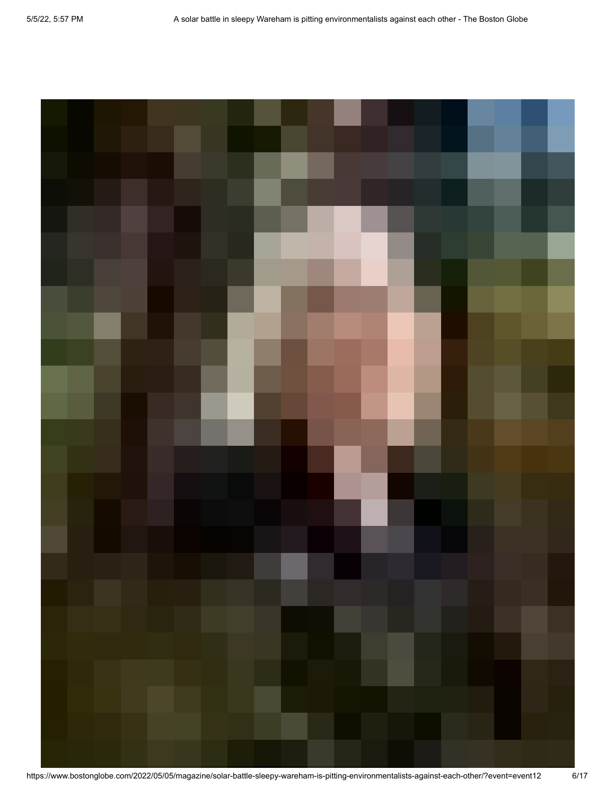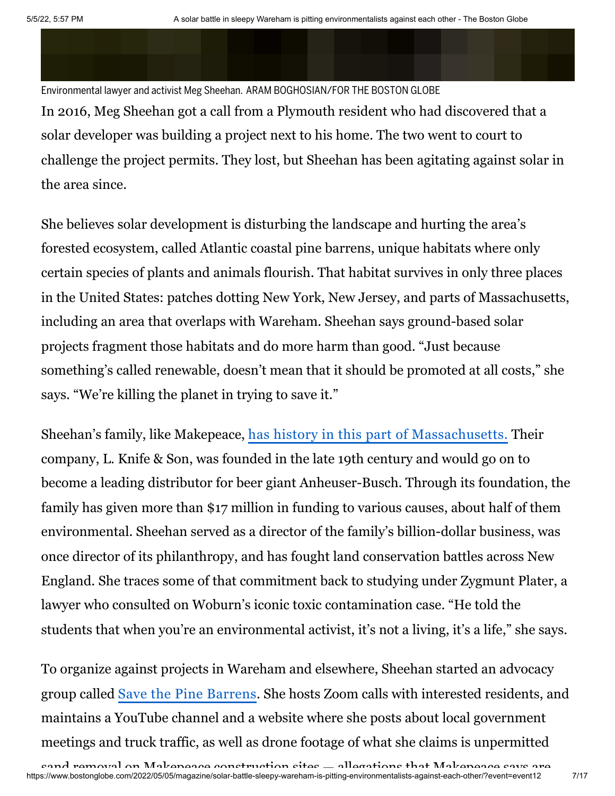Environmental lawyer and activist Meg Sheehan. ARAM BOGHOSIAN/FOR THE BOSTON GLOBE

In 2016, Meg Sheehan got a call from a Plymouth resident who had discovered that a solar developer was building a project next to his home. The two went to court to challenge the project permits. They lost, but Sheehan has been agitating against solar in the area since.

She believes solar development is disturbing the landscape and hurting the area's forested ecosystem, called Atlantic coastal pine barrens, unique habitats where only certain species of plants and animals flourish. That habitat survives in only three places in the United States: patches dotting New York, New Jersey, and parts of Massachusetts, including an area that overlaps with Wareham. Sheehan says ground-based solar projects fragment those habitats and do more harm than good. "Just because something's called renewable, doesn't mean that it should be promoted at all costs," she says. "We're killing the planet in trying to save it."

Sheehan's family, like Makepeace, has history in this part of [Massachusetts.](https://www.bostonmagazine.com/news/2021/06/15/sheehan-beer-empire/) Their company, L. Knife & Son, was founded in the late 19th century and would go on to become a leading distributor for beer giant Anheuser-Busch. Through its foundation, the family has given more than \$17 million in funding to various causes, about half of them environmental. Sheehan served as a director of the family's billion-dollar business, was once director of its philanthropy, and has fought land conservation battles across New England. She traces some of that commitment back to studying under Zygmunt Plater, a lawyer who consulted on Woburn's iconic toxic contamination case. "He told the students that when you're an environmental activist, it's not a living, it's a life," she says.

To organize against projects in Wareham and elsewhere, Sheehan started an advocacy group called Save the Pine [Barrens.](https://savethepinebarrens.org/) She hosts Zoom calls with interested residents, and maintains a YouTube channel and a website where she posts about local government meetings and truck traffic, as well as drone footage of what she claims is unpermitted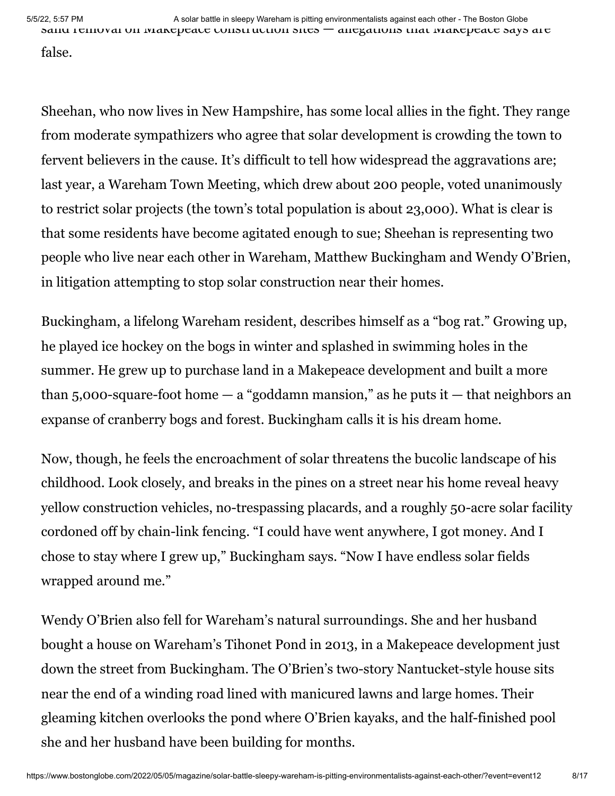false.

Sheehan, who now lives in New Hampshire, has some local allies in the fight. They range from moderate sympathizers who agree that solar development is crowding the town to fervent believers in the cause. It's difficult to tell how widespread the aggravations are; last year, a Wareham Town Meeting, which drew about 200 people, voted unanimously to restrict solar projects (the town's total population is about 23,000). What is clear is that some residents have become agitated enough to sue; Sheehan is representing two people who live near each other in Wareham, Matthew Buckingham and Wendy O'Brien, in litigation attempting to stop solar construction near their homes.

Buckingham, a lifelong Wareham resident, describes himself as a "bog rat." Growing up, he played ice hockey on the bogs in winter and splashed in swimming holes in the summer. He grew up to purchase land in a Makepeace development and built a more than  $5,000$ -square-foot home  $-$  a "goddamn mansion," as he puts it  $-$  that neighbors an expanse of cranberry bogs and forest. Buckingham calls it is his dream home.

Now, though, he feels the encroachment of solar threatens the bucolic landscape of his childhood. Look closely, and breaks in the pines on a street near his home reveal heavy yellow construction vehicles, no-trespassing placards, and a roughly 50-acre solar facility cordoned off by chain-link fencing. "I could have went anywhere, I got money. And I chose to stay where I grew up," Buckingham says. "Now I have endless solar fields wrapped around me."

Wendy O'Brien also fell for Wareham's natural surroundings. She and her husband bought a house on Wareham's Tihonet Pond in 2013, in a Makepeace development just down the street from Buckingham. The O'Brien's two-story Nantucket-style house sits near the end of a winding road lined with manicured lawns and large homes. Their gleaming kitchen overlooks the pond where O'Brien kayaks, and the half-finished pool she and her husband have been building for months.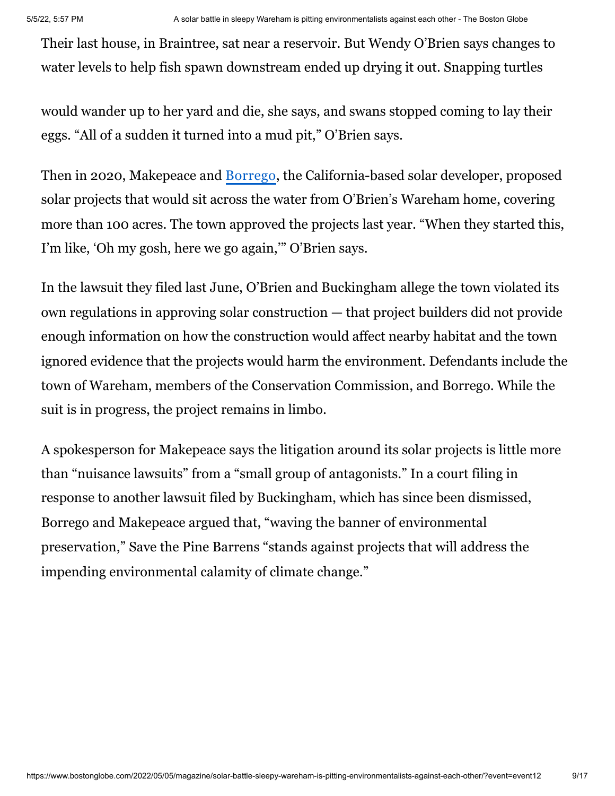Their last house, in Braintree, sat near a reservoir. But Wendy O'Brien says changes to water levels to help fish spawn downstream ended up drying it out. Snapping turtles

would wander up to her yard and die, she says, and swans stopped coming to lay their eggs. "All of a sudden it turned into a mud pit," O'Brien says.

Then in 2020, Makepeace and [Borrego,](https://www.borregoenergy.com/) the California-based solar developer, proposed solar projects that would sit across the water from O'Brien's Wareham home, covering more than 100 acres. The town approved the projects last year. "When they started this, I'm like, 'Oh my gosh, here we go again,'" O'Brien says.

In the lawsuit they filed last June, O'Brien and Buckingham allege the town violated its own regulations in approving solar construction — that project builders did not provide enough information on how the construction would affect nearby habitat and the town ignored evidence that the projects would harm the environment. Defendants include the town of Wareham, members of the Conservation Commission, and Borrego. While the suit is in progress, the project remains in limbo.

A spokesperson for Makepeace says the litigation around its solar projects is little more than "nuisance lawsuits" from a "small group of antagonists." In a court filing in response to another lawsuit filed by Buckingham, which has since been dismissed, Borrego and Makepeace argued that, "waving the banner of environmental preservation," Save the Pine Barrens "stands against projects that will address the impending environmental calamity of climate change."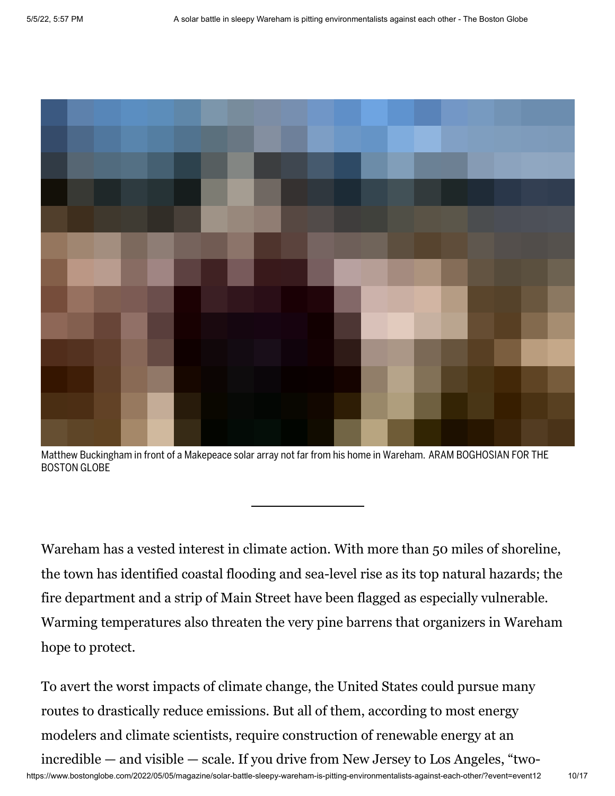

Matthew Buckingham in front of a Makepeace solar array not far from his home in Wareham. ARAM BOGHOSIAN FOR THE BOSTON GLOBE

Wareham has a vested interest in climate action. With more than 50 miles of shoreline, the town has identified coastal flooding and sea-level rise as its top natural hazards; the fire department and a strip of Main Street have been flagged as especially vulnerable. Warming temperatures also threaten the very pine barrens that organizers in Wareham hope to protect.

https://www.bostonglobe.com/2022/05/05/magazine/solar-battle-sleepy-wareham-is-pitting-environmentalists-against-each-other/?event=event12 10/17 To avert the worst impacts of climate change, the United States could pursue many routes to drastically reduce emissions. But all of them, according to most energy modelers and climate scientists, require construction of renewable energy at an incredible — and visible — scale. If you drive from New Jersey to Los Angeles, "two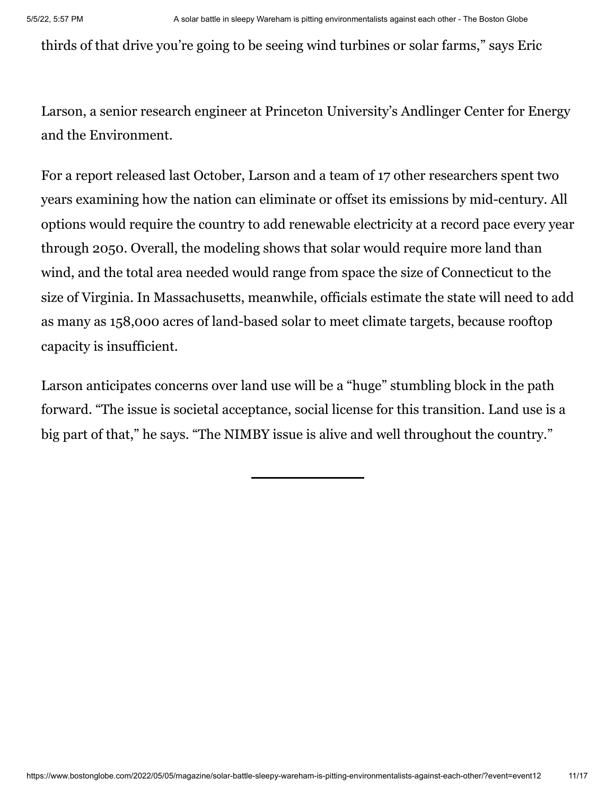thirds of that drive you're going to be seeing wind turbines or solar farms," says Eric

Larson, a senior research engineer at Princeton University's Andlinger Center for Energy and the Environment.

For a report released last October, Larson and a team of 17 other researchers spent two years examining how the nation can eliminate or offset its emissions by mid-century. All options would require the country to add renewable electricity at a record pace every year through 2050. Overall, the modeling shows that solar would require more land than wind, and the total area needed would range from space the size of Connecticut to the size of Virginia. In Massachusetts, meanwhile, officials estimate the state will need to add as many as 158,000 acres of land-based solar to meet climate targets, because rooftop capacity is insufficient.

Larson anticipates concerns over land use will be a "huge" stumbling block in the path forward. "The issue is societal acceptance, social license for this transition. Land use is a big part of that," he says. "The NIMBY issue is alive and well throughout the country."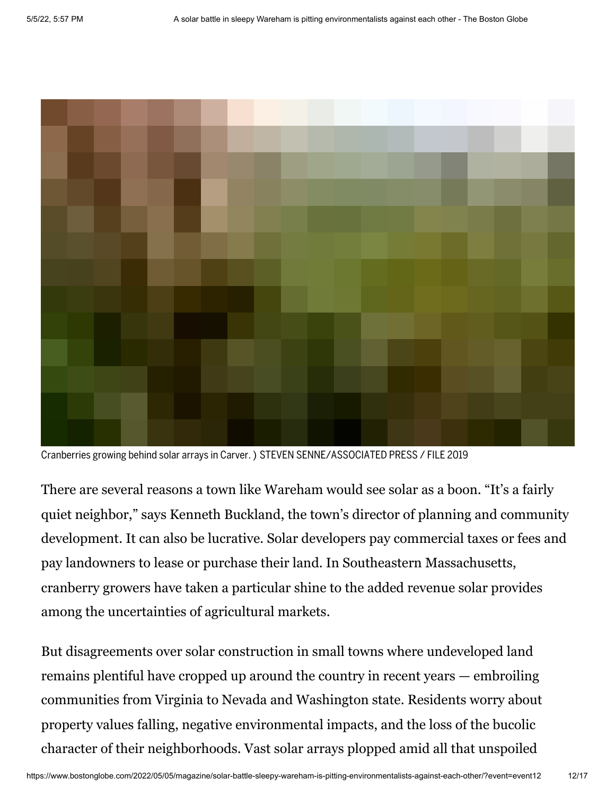

Cranberries growing behind solar arrays in Carver. ) STEVEN SENNE/ASSOCIATED PRESS / FILE 2019

There are several reasons a town like Wareham would see solar as a boon. "It's a fairly quiet neighbor," says Kenneth Buckland, the town's director of planning and community development. It can also be lucrative. Solar developers pay commercial taxes or fees and pay landowners to lease or purchase their land. In Southeastern Massachusetts, cranberry growers have taken a particular shine to the added revenue solar provides among the uncertainties of agricultural markets.

But disagreements over solar construction in small towns where undeveloped land remains plentiful have cropped up around the country in recent years — embroiling communities from Virginia to Nevada and Washington state. Residents worry about property values falling, negative environmental impacts, and the loss of the bucolic character of their neighborhoods. Vast solar arrays plopped amid all that unspoiled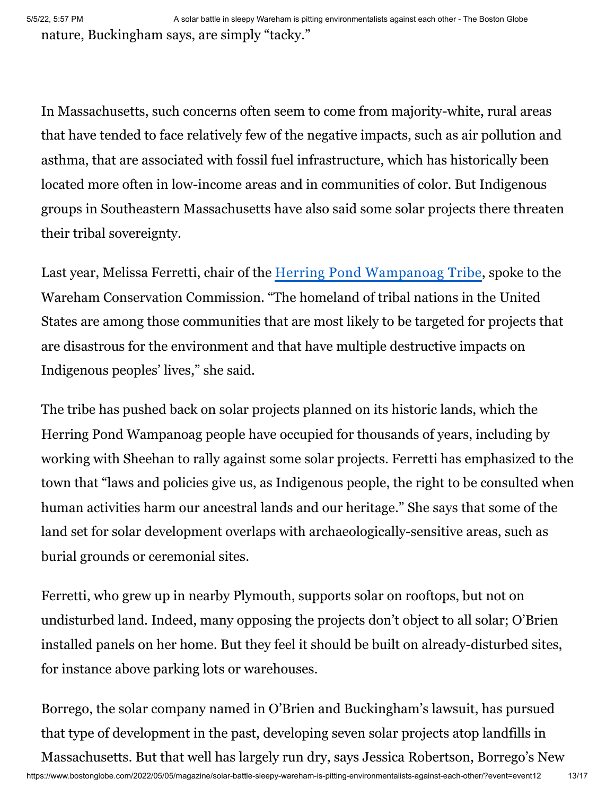nature, Buckingham says, are simply "tacky."

In Massachusetts, such concerns often seem to come from majority-white, rural areas that have tended to face relatively few of the negative impacts, such as air pollution and asthma, that are associated with fossil fuel infrastructure, which has historically been located more often in low-income areas and in communities of color. But Indigenous groups in Southeastern Massachusetts have also said some solar projects there threaten their tribal sovereignty.

Last year, Melissa Ferretti, chair of the Herring Pond [Wampanoag](https://www.herringpondtribe.org/) Tribe, spoke to the Wareham Conservation Commission. "The homeland of tribal nations in the United States are among those communities that are most likely to be targeted for projects that are disastrous for the environment and that have multiple destructive impacts on Indigenous peoples' lives," she said.

The tribe has pushed back on solar projects planned on its historic lands, which the Herring Pond Wampanoag people have occupied for thousands of years, including by working with Sheehan to rally against some solar projects. Ferretti has emphasized to the town that "laws and policies give us, as Indigenous people, the right to be consulted when human activities harm our ancestral lands and our heritage." She says that some of the land set for solar development overlaps with archaeologically-sensitive areas, such as burial grounds or ceremonial sites.

Ferretti, who grew up in nearby Plymouth, supports solar on rooftops, but not on undisturbed land. Indeed, many opposing the projects don't object to all solar; O'Brien installed panels on her home. But they feel it should be built on already-disturbed sites, for instance above parking lots or warehouses.

Borrego, the solar company named in O'Brien and Buckingham's lawsuit, has pursued that type of development in the past, developing seven solar projects atop landfills in Massachusetts. But that well has largely run dry, says Jessica Robertson, Borrego's New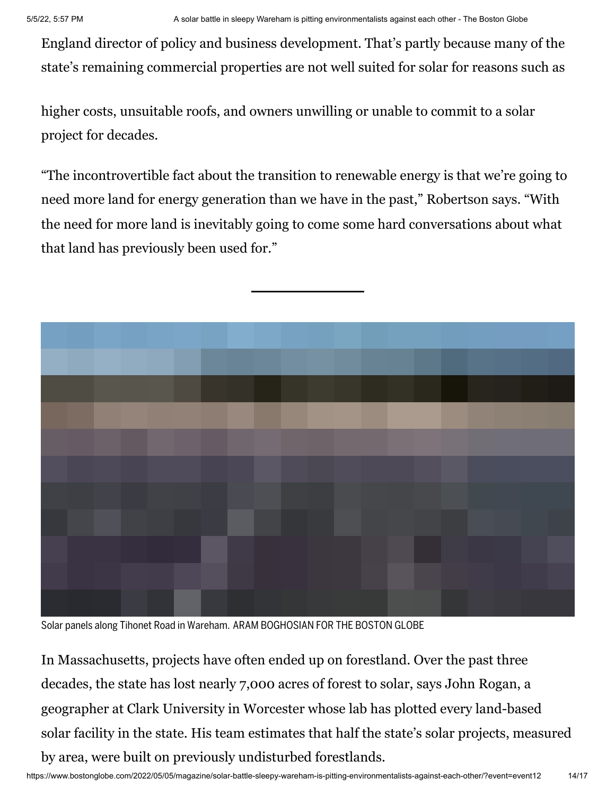England director of policy and business development. That's partly because many of the state's remaining commercial properties are not well suited for solar for reasons such as

higher costs, unsuitable roofs, and owners unwilling or unable to commit to a solar project for decades.

"The incontrovertible fact about the transition to renewable energy is that we're going to need more land for energy generation than we have in the past," Robertson says. "With the need for more land is inevitably going to come some hard conversations about what that land has previously been used for."



Solar panels along Tihonet Road in Wareham. ARAM BOGHOSIAN FOR THE BOSTON GLOBE

In Massachusetts, projects have often ended up on forestland. Over the past three decades, the state has lost nearly 7,000 acres of forest to solar, says John Rogan, a geographer at Clark University in Worcester whose lab has plotted every land-based solar facility in the state. His team estimates that half the state's solar projects, measured by area, were built on previously undisturbed forestlands.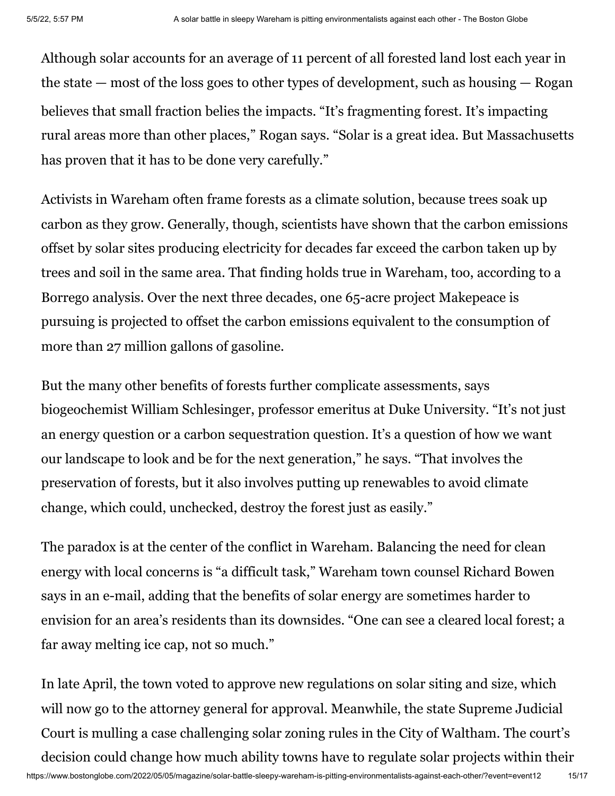Although solar accounts for an average of 11 percent of all forested land lost each year in the state — most of the loss goes to other types of development, such as housing — Rogan believes that small fraction belies the impacts. "It's fragmenting forest. It's impacting rural areas more than other places," Rogan says. "Solar is a great idea. But Massachusetts has proven that it has to be done very carefully."

Activists in Wareham often frame forests as a climate solution, because trees soak up carbon as they grow. Generally, though, scientists have shown that the carbon emissions offset by solar sites producing electricity for decades far exceed the carbon taken up by trees and soil in the same area. That finding holds true in Wareham, too, according to a Borrego analysis. Over the next three decades, one 65-acre project Makepeace is pursuing is projected to offset the carbon emissions equivalent to the consumption of more than 27 million gallons of gasoline.

But the many other benefits of forests further complicate assessments, says biogeochemist William Schlesinger, professor emeritus at Duke University. "It's not just an energy question or a carbon sequestration question. It's a question of how we want our landscape to look and be for the next generation," he says. "That involves the preservation of forests, but it also involves putting up renewables to avoid climate change, which could, unchecked, destroy the forest just as easily."

The paradox is at the center of the conflict in Wareham. Balancing the need for clean energy with local concerns is "a difficult task," Wareham town counsel Richard Bowen says in an e-mail, adding that the benefits of solar energy are sometimes harder to envision for an area's residents than its downsides. "One can see a cleared local forest; a far away melting ice cap, not so much."

In late April, the town voted to approve new regulations on solar siting and size, which will now go to the attorney general for approval. Meanwhile, the state Supreme Judicial Court is mulling a case challenging solar zoning rules in the City of Waltham. The court's decision could change how much ability towns have to regulate solar projects within their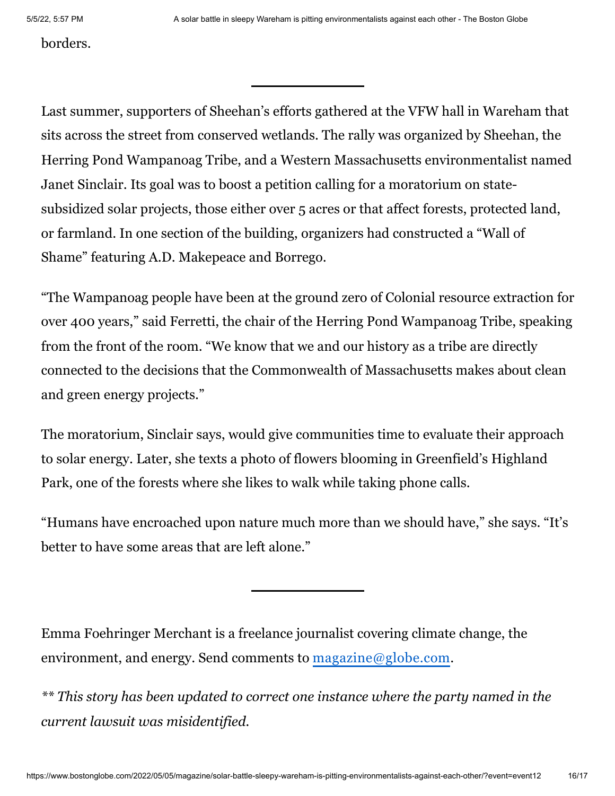borders.

Last summer, supporters of Sheehan's efforts gathered at the VFW hall in Wareham that sits across the street from conserved wetlands. The rally was organized by Sheehan, the Herring Pond Wampanoag Tribe, and a Western Massachusetts environmentalist named Janet Sinclair. Its goal was to boost a petition calling for a moratorium on statesubsidized solar projects, those either over 5 acres or that affect forests, protected land, or farmland. In one section of the building, organizers had constructed a "Wall of Shame" featuring A.D. Makepeace and Borrego.

"The Wampanoag people have been at the ground zero of Colonial resource extraction for over 400 years," said Ferretti, the chair of the Herring Pond Wampanoag Tribe, speaking from the front of the room. "We know that we and our history as a tribe are directly connected to the decisions that the Commonwealth of Massachusetts makes about clean and green energy projects."

The moratorium, Sinclair says, would give communities time to evaluate their approach to solar energy. Later, she texts a photo of flowers blooming in Greenfield's Highland Park, one of the forests where she likes to walk while taking phone calls.

"Humans have encroached upon nature much more than we should have," she says. "It's better to have some areas that are left alone."

Emma Foehringer Merchant is a freelance journalist covering climate change, the environment, and energy. Send comments to [magazine@globe.com](mailto:magazine@globe.com).

*\*\* This story has been updated to correct one instance where the party named in the current lawsuit was misidentified.*